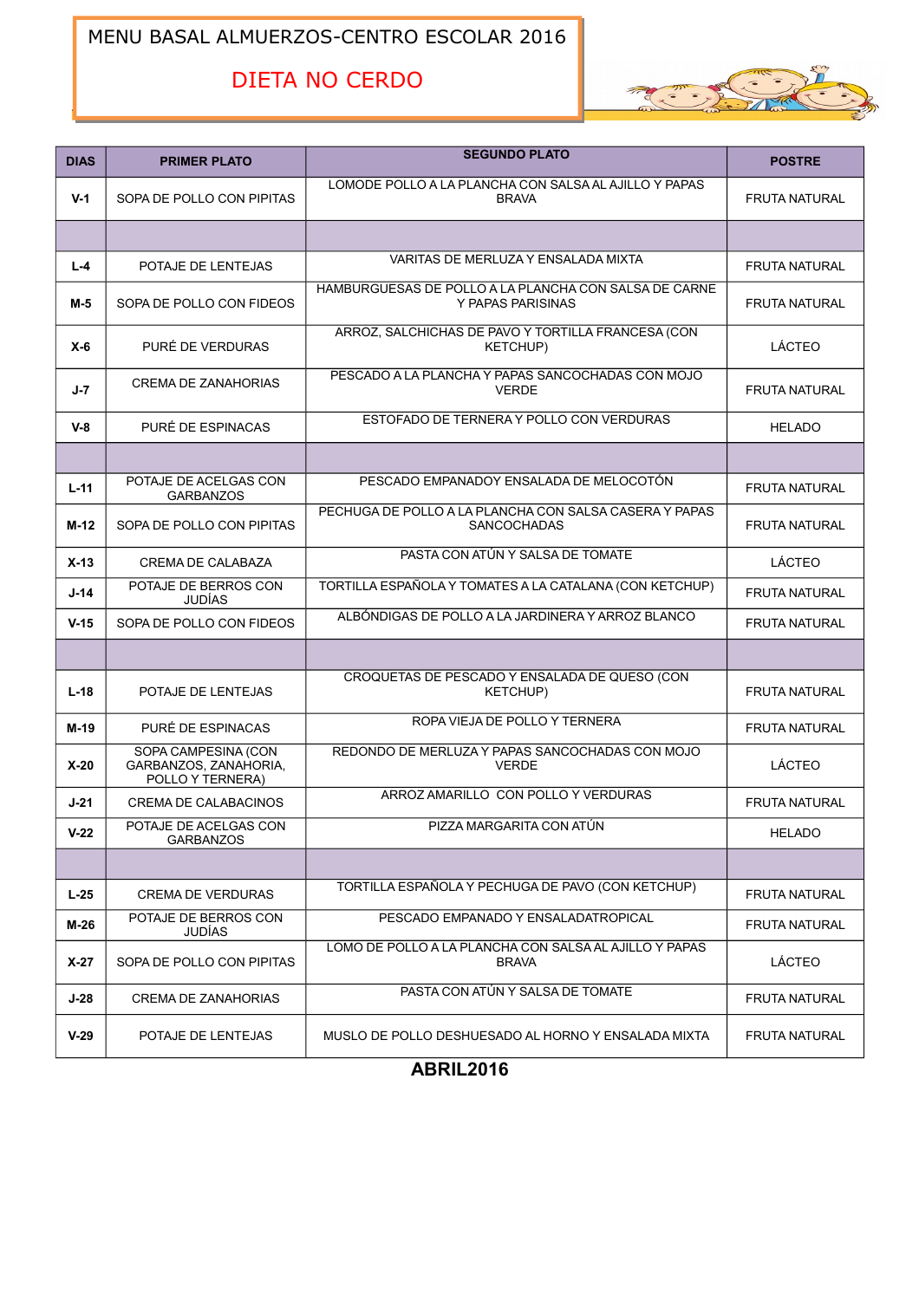## MENU BASAL ALMUERZOS-CENTRO ESCOLAR 2016

## DIETA NO CERDO



| <b>DIAS</b> | <b>PRIMER PLATO</b>                                              | <b>SEGUNDO PLATO</b>                                                         | <b>POSTRE</b>        |
|-------------|------------------------------------------------------------------|------------------------------------------------------------------------------|----------------------|
| $V-1$       | SOPA DE POLLO CON PIPITAS                                        | LOMODE POLLO A LA PLANCHA CON SALSA AL AJILLO Y PAPAS<br><b>BRAVA</b>        | <b>FRUTA NATURAL</b> |
|             |                                                                  |                                                                              |                      |
| $L - 4$     | POTAJE DE LENTEJAS                                               | VARITAS DE MERLUZA Y ENSALADA MIXTA                                          | <b>FRUTA NATURAL</b> |
| M-5         | SOPA DE POLLO CON FIDEOS                                         | HAMBURGUESAS DE POLLO A LA PLANCHA CON SALSA DE CARNE<br>Y PAPAS PARISINAS   | <b>FRUTA NATURAL</b> |
| $X-6$       | PURÉ DE VERDURAS                                                 | ARROZ, SALCHICHAS DE PAVO Y TORTILLA FRANCESA (CON<br><b>KETCHUP)</b>        | LÁCTEO               |
| J-7         | <b>CREMA DE ZANAHORIAS</b>                                       | PESCADO A LA PLANCHA Y PAPAS SANCOCHADAS CON MOJO<br><b>VERDE</b>            | <b>FRUTA NATURAL</b> |
| $V-8$       | PURÉ DE ESPINACAS                                                | ESTOFADO DE TERNERA Y POLLO CON VERDURAS                                     | <b>HELADO</b>        |
|             |                                                                  |                                                                              |                      |
| $L-11$      | POTAJE DE ACELGAS CON<br><b>GARBANZOS</b>                        | PESCADO EMPANADOY ENSALADA DE MELOCOTÓN                                      | <b>FRUTA NATURAL</b> |
| M-12        | SOPA DE POLLO CON PIPITAS                                        | PECHUGA DE POLLO A LA PLANCHA CON SALSA CASERA Y PAPAS<br><b>SANCOCHADAS</b> | <b>FRUTA NATURAL</b> |
| $X-13$      | <b>CREMA DE CALABAZA</b>                                         | PASTA CON ATÚN Y SALSA DE TOMATE                                             | LÁCTEO               |
| J-14        | POTAJE DE BERROS CON<br><b>JUDÍAS</b>                            | TORTILLA ESPAÑOLA Y TOMATES A LA CATALANA (CON KETCHUP)                      | <b>FRUTA NATURAL</b> |
| $V-15$      | SOPA DE POLLO CON FIDEOS                                         | ALBÓNDIGAS DE POLLO A LA JARDINERA Y ARROZ BLANCO                            | <b>FRUTA NATURAL</b> |
|             |                                                                  |                                                                              |                      |
| $L-18$      | POTAJE DE LENTEJAS                                               | CROQUETAS DE PESCADO Y ENSALADA DE QUESO (CON<br><b>KETCHUP)</b>             | <b>FRUTA NATURAL</b> |
| M-19        | PURÉ DE ESPINACAS                                                | ROPA VIEJA DE POLLO Y TERNERA                                                | <b>FRUTA NATURAL</b> |
| $X-20$      | SOPA CAMPESINA (CON<br>GARBANZOS, ZANAHORIA,<br>POLLO Y TERNERA) | REDONDO DE MERLUZA Y PAPAS SANCOCHADAS CON MOJO<br><b>VERDE</b>              | LÁCTEO               |
| J-21        | CREMA DE CALABACINOS                                             | ARROZ AMARILLO CON POLLO Y VERDURAS                                          | <b>FRUTA NATURAL</b> |
| $V-22$      | POTAJE DE ACELGAS CON<br><b>GARBANZOS</b>                        | PIZZA MARGARITA CON ATÚN                                                     | <b>HELADO</b>        |
|             |                                                                  |                                                                              |                      |
| $L-25$      | <b>CREMA DE VERDURAS</b>                                         | TORTILLA ESPAÑOLA Y PECHUGA DE PAVO (CON KETCHUP)                            | <b>FRUTA NATURAL</b> |
| M-26        | POTAJE DE BERROS CON<br>JUDÍAS                                   | PESCADO EMPANADO Y ENSALADATROPICAL                                          | <b>FRUTA NATURAL</b> |
| $X-27$      | SOPA DE POLLO CON PIPITAS                                        | LOMO DE POLLO A LA PLANCHA CON SALSA AL AJILLO Y PAPAS<br><b>BRAVA</b>       | LÁCTEO               |
| J-28        | <b>CREMA DE ZANAHORIAS</b>                                       | PASTA CON ATÚN Y SALSA DE TOMATE                                             | <b>FRUTA NATURAL</b> |
| $V-29$      | POTAJE DE LENTEJAS                                               | MUSLO DE POLLO DESHUESADO AL HORNO Y ENSALADA MIXTA                          | <b>FRUTA NATURAL</b> |

**ABRIL2016**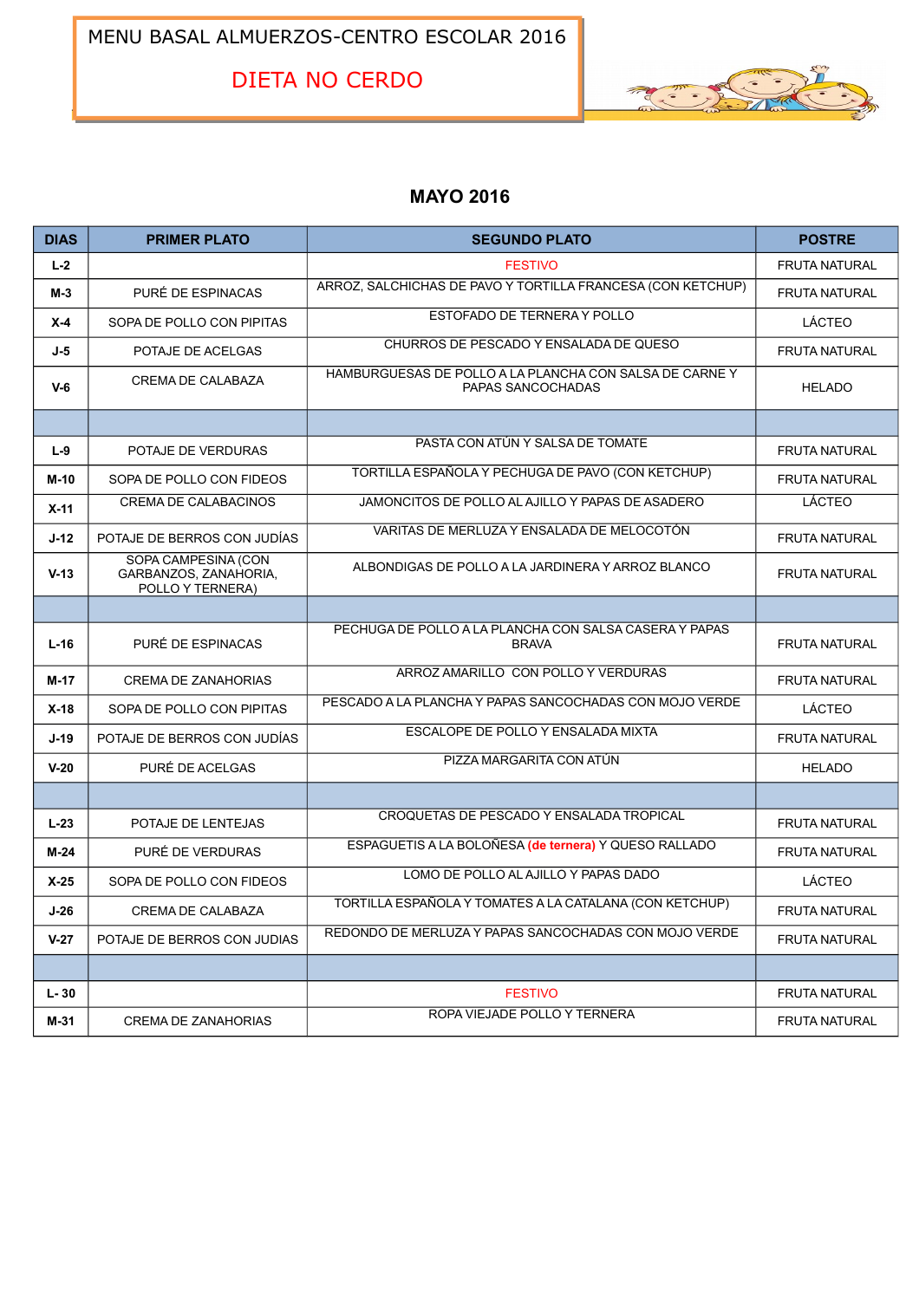MENU BASAL ALMUERZOS-CENTRO ESCOLAR 2016

DIETA NO CERDO



## **MAYO 2016**

| <b>DIAS</b> | <b>PRIMER PLATO</b>                                              | <b>SEGUNDO PLATO</b>                                                        | <b>POSTRE</b>        |
|-------------|------------------------------------------------------------------|-----------------------------------------------------------------------------|----------------------|
| $L-2$       |                                                                  | <b>FESTIVO</b>                                                              | <b>FRUTA NATURAL</b> |
| $M-3$       | PURÉ DE ESPINACAS                                                | ARROZ, SALCHICHAS DE PAVO Y TORTILLA FRANCESA (CON KETCHUP)                 | <b>FRUTA NATURAL</b> |
| $X-4$       | SOPA DE POLLO CON PIPITAS                                        | ESTOFADO DE TERNERA Y POLLO                                                 | LÁCTEO               |
| $J-5$       | POTAJE DE ACELGAS                                                | CHURROS DE PESCADO Y ENSALADA DE QUESO                                      | <b>FRUTA NATURAL</b> |
| $V-6$       | CREMA DE CALABAZA                                                | HAMBURGUESAS DE POLLO A LA PLANCHA CON SALSA DE CARNEY<br>PAPAS SANCOCHADAS | <b>HELADO</b>        |
|             |                                                                  |                                                                             |                      |
| $L-9$       | POTAJE DE VERDURAS                                               | PASTA CON ATÚN Y SALSA DE TOMATE                                            | <b>FRUTA NATURAL</b> |
| $M-10$      | SOPA DE POLLO CON FIDEOS                                         | TORTILLA ESPAÑOLA Y PECHUGA DE PAVO (CON KETCHUP)                           | <b>FRUTA NATURAL</b> |
| $X-11$      | CREMA DE CALABACINOS                                             | JAMONCITOS DE POLLO AL AJILLO Y PAPAS DE ASADERO                            | LÁCTEO               |
| $J-12$      | POTAJE DE BERROS CON JUDÍAS                                      | VARITAS DE MERLUZA Y ENSALADA DE MELOCOTÓN                                  | <b>FRUTA NATURAL</b> |
| $V-13$      | SOPA CAMPESINA (CON<br>GARBANZOS, ZANAHORIA,<br>POLLO Y TERNERA) | ALBONDIGAS DE POLLO A LA JARDINERA Y ARROZ BLANCO                           | <b>FRUTA NATURAL</b> |
|             |                                                                  |                                                                             |                      |
| $L-16$      | PURÉ DE ESPINACAS                                                | PECHUGA DE POLLO A LA PLANCHA CON SALSA CASERA Y PAPAS<br><b>BRAVA</b>      | <b>FRUTA NATURAL</b> |
| $M-17$      | <b>CREMA DE ZANAHORIAS</b>                                       | ARROZ AMARILLO CON POLLO Y VERDURAS                                         | <b>FRUTA NATURAL</b> |
| $X-18$      | SOPA DE POLLO CON PIPITAS                                        | PESCADO A LA PLANCHA Y PAPAS SANCOCHADAS CON MOJO VERDE                     | LÁCTEO               |
| $J-19$      | POTAJE DE BERROS CON JUDÍAS                                      | ESCALOPE DE POLLO Y ENSALADA MIXTA                                          | <b>FRUTA NATURAL</b> |
| $V-20$      | PURÉ DE ACELGAS                                                  | PIZZA MARGARITA CON ATÚN                                                    | <b>HELADO</b>        |
|             |                                                                  |                                                                             |                      |
| $L-23$      | POTAJE DE LENTEJAS                                               | CROQUETAS DE PESCADO Y ENSALADA TROPICAL                                    | <b>FRUTA NATURAL</b> |
| $M-24$      | PURÉ DE VERDURAS                                                 | ESPAGUETIS A LA BOLOÑESA (de ternera) Y QUESO RALLADO                       | <b>FRUTA NATURAL</b> |
| $X-25$      | SOPA DE POLLO CON FIDEOS                                         | LOMO DE POLLO AL AJILLO Y PAPAS DADO                                        | LÁCTEO               |
| $J-26$      | CREMA DE CALABAZA                                                | TORTILLA ESPAÑOLA Y TOMATES A LA CATALANA (CON KETCHUP)                     | <b>FRUTA NATURAL</b> |
| $V-27$      | POTAJE DE BERROS CON JUDIAS                                      | REDONDO DE MERLUZA Y PAPAS SANCOCHADAS CON MOJO VERDE                       | <b>FRUTA NATURAL</b> |
|             |                                                                  |                                                                             |                      |
| $L - 30$    |                                                                  | <b>FESTIVO</b>                                                              | <b>FRUTA NATURAL</b> |
| M-31        | <b>CREMA DE ZANAHORIAS</b>                                       | ROPA VIEJADE POLLO Y TERNERA                                                | <b>FRUTA NATURAL</b> |